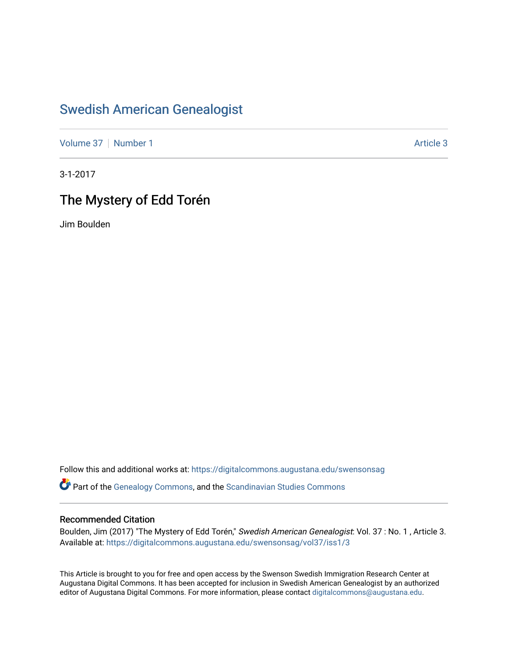## [Swedish American Genealogist](https://digitalcommons.augustana.edu/swensonsag)

[Volume 37](https://digitalcommons.augustana.edu/swensonsag/vol37) | [Number 1](https://digitalcommons.augustana.edu/swensonsag/vol37/iss1) Article 3

3-1-2017

## The Mystery of Edd Torén

Jim Boulden

Follow this and additional works at: [https://digitalcommons.augustana.edu/swensonsag](https://digitalcommons.augustana.edu/swensonsag?utm_source=digitalcommons.augustana.edu%2Fswensonsag%2Fvol37%2Fiss1%2F3&utm_medium=PDF&utm_campaign=PDFCoverPages) 

**C** Part of the [Genealogy Commons,](http://network.bepress.com/hgg/discipline/1342?utm_source=digitalcommons.augustana.edu%2Fswensonsag%2Fvol37%2Fiss1%2F3&utm_medium=PDF&utm_campaign=PDFCoverPages) and the [Scandinavian Studies Commons](http://network.bepress.com/hgg/discipline/485?utm_source=digitalcommons.augustana.edu%2Fswensonsag%2Fvol37%2Fiss1%2F3&utm_medium=PDF&utm_campaign=PDFCoverPages)

### Recommended Citation

Boulden, Jim (2017) "The Mystery of Edd Torén," Swedish American Genealogist: Vol. 37 : No. 1, Article 3. Available at: [https://digitalcommons.augustana.edu/swensonsag/vol37/iss1/3](https://digitalcommons.augustana.edu/swensonsag/vol37/iss1/3?utm_source=digitalcommons.augustana.edu%2Fswensonsag%2Fvol37%2Fiss1%2F3&utm_medium=PDF&utm_campaign=PDFCoverPages) 

This Article is brought to you for free and open access by the Swenson Swedish Immigration Research Center at Augustana Digital Commons. It has been accepted for inclusion in Swedish American Genealogist by an authorized editor of Augustana Digital Commons. For more information, please contact [digitalcommons@augustana.edu.](mailto:digitalcommons@augustana.edu)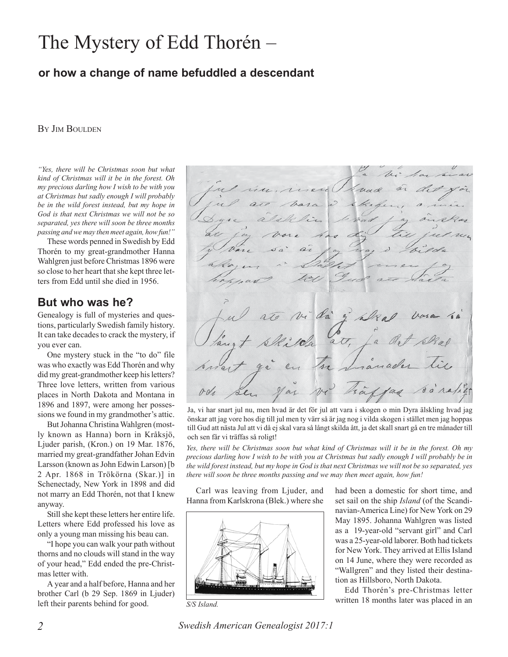# The Mystery of Edd Thorén –

### **or how a change of name befuddled a descendant**

#### BY JIM BOULDEN

*"Yes, there will be Christmas soon but what kind of Christmas will it be in the forest. Oh my precious darling how I wish to be with you at Christmas but sadly enough I will probably be in the wild forest instead, but my hope in God is that next Christmas we will not be so separated, yes there will soon be three months passing and we may then meet again, how fun!"*

These words penned in Swedish by Edd Thorén to my great-grandmother Hanna Wahlgren just before Christmas 1896 were so close to her heart that she kept three letters from Edd until she died in 1956.

### **But who was he?**

Genealogy is full of mysteries and questions, particularly Swedish family history. It can take decades to crack the mystery, if you ever can.

One mystery stuck in the "to do" file was who exactly was Edd Thorén and why did my great-grandmother keep his letters? Three love letters, written from various places in North Dakota and Montana in 1896 and 1897, were among her possessions we found in my grandmother's attic.

But Johanna Christina Wahlgren (mostly known as Hanna) born in Kråksjö, Ljuder parish, (Kron.) on 19 Mar. 1876, married my great-grandfather Johan Edvin Larsson (known as John Edwin Larson) [b 2 Apr. 1868 in Trökörna (Skar.)] in Schenectady, New York in 1898 and did not marry an Edd Thorén, not that I knew anyway.

Still she kept these letters her entire life. Letters where Edd professed his love as only a young man missing his beau can.

"I hope you can walk your path without thorns and no clouds will stand in the way of your head," Edd ended the pre-Christmas letter with.

A year and a half before, Hanna and her brother Carl (b 29 Sep. 1869 in Ljuder) left their parents behind for good.

da att.

Ja, vi har snart jul nu, men hvad är det för jul att vara i skogen o min Dyra älskling hvad jag önskar att jag vore hos dig till jul men ty värr så är jag nog i vilda skogen i stället men jag hoppas till Gud att nästa Jul att vi då ej skal vara så långt skilda ått, ja det skall snart gå en tre månader till och sen får vi träffas så roligt!

*Yes, there will be Christmas soon but what kind of Christmas will it be in the forest. Oh my precious darling how I wish to be with you at Christmas but sadly enough I will probably be in the wild forest instead, but my hope in God is that next Christmas we will not be so separated, yes there will soon be three months passing and we may then meet again, how fun!*

Carl was leaving from Ljuder, and Hanna from Karlskrona (Blek.) where she



*S/S Island.*

had been a domestic for short time, and set sail on the ship *Island* (of the Scandinavian-America Line) for New York on 29 May 1895. Johanna Wahlgren was listed as a 19-year-old "servant girl" and Carl was a 25-year-old laborer. Both had tickets for New York. They arrived at Ellis Island on 14 June, where they were recorded as "Wallgren" and they listed their destination as Hillsboro, North Dakota.

Edd Thorén's pre-Christmas letter written 18 months later was placed in an

*2 Swedish American Genealogist 2017:1*